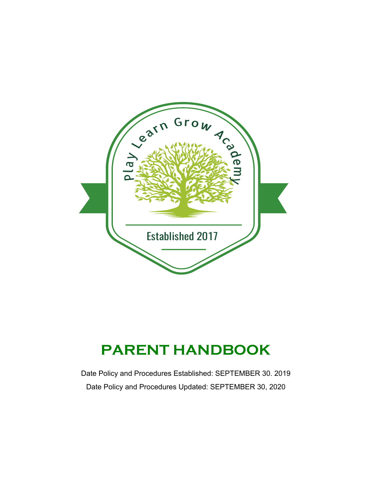

# **PARENT HANDBOOK**

Date Policy and Procedures Established: SEPTEMBER 30. 2019 Date Policy and Procedures Updated: SEPTEMBER 30, 2020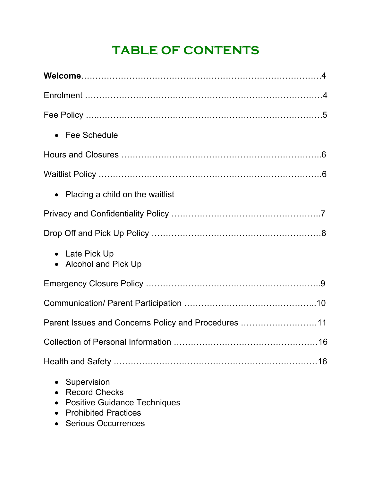# **TABLE OF CONTENTS**

| • Fee Schedule                                                                          |
|-----------------------------------------------------------------------------------------|
|                                                                                         |
|                                                                                         |
| • Placing a child on the waitlist                                                       |
|                                                                                         |
|                                                                                         |
| • Late Pick Up<br>• Alcohol and Pick Up                                                 |
|                                                                                         |
|                                                                                         |
| Parent Issues and Concerns Policy and Procedures 11                                     |
| 16                                                                                      |
|                                                                                         |
| Supervision<br>$\bullet$<br><b>Record Checks</b><br><b>Positive Guidance Techniques</b> |

- Prohibited Practices
- Serious Occurrences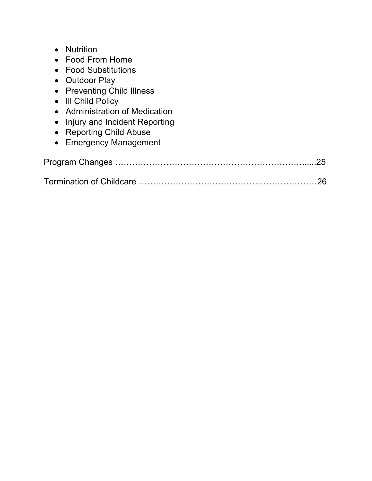- Nutrition
- Food From Home
- Food Substitutions
- Outdoor Play
- Preventing Child Illness
- Ill Child Policy
- Administration of Medication
- Injury and Incident Reporting
- Reporting Child Abuse
- Emergency Management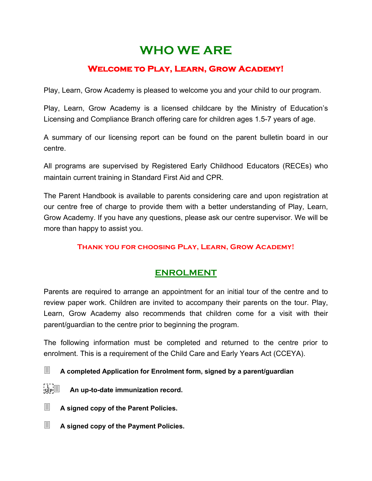# **WHO WE ARE**

# **Welcome to Play, Learn, Grow Academy!**

Play, Learn, Grow Academy is pleased to welcome you and your child to our program.

Play, Learn, Grow Academy is a licensed childcare by the Ministry of Education's Licensing and Compliance Branch offering care for children ages 1.5-7 years of age.

A summary of our licensing report can be found on the parent bulletin board in our centre.

All programs are supervised by Registered Early Childhood Educators (RECEs) who maintain current training in Standard First Aid and CPR.

The Parent Handbook is available to parents considering care and upon registration at our centre free of charge to provide them with a better understanding of Play, Learn, Grow Academy. If you have any questions, please ask our centre supervisor. We will be more than happy to assist you.

# **Thank you for choosing Play, Learn, Grow Academy!**

# **ENROLMENT**

Parents are required to arrange an appointment for an initial tour of the centre and to review paper work. Children are invited to accompany their parents on the tour. Play, Learn, Grow Academy also recommends that children come for a visit with their parent/guardian to the centre prior to beginning the program.

The following information must be completed and returned to the centre prior to enrolment. This is a requirement of the Child Care and Early Years Act (CCEYA).

- 3 **A completed Application for Enrolment form, signed by a parent/guardian**
- 3 **An up-to-date immunization record.**
- **E** A signed copy of the Parent Policies.
- **E** A signed copy of the Payment Policies.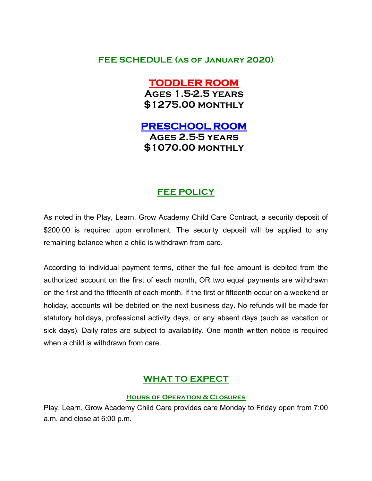# **FEE SCHEDULE (as of January 2020)**

# **TODDLER ROOM**

**Ages 1.5-2.5 years \$1275.00 monthly**

# **PRESCHOOL ROOM Ages 2.5-5 years**

**\$1070.00 monthly**

# **FEE POLICY**

As noted in the Play, Learn, Grow Academy Child Care Contract, a security deposit of \$200.00 is required upon enrollment. The security deposit will be applied to any remaining balance when a child is withdrawn from care.

According to individual payment terms, either the full fee amount is debited from the authorized account on the first of each month, OR two equal payments are withdrawn on the first and the fifteenth of each month. If the first or fifteenth occur on a weekend or holiday, accounts will be debited on the next business day. No refunds will be made for statutory holidays, professional activity days, or any absent days (such as vacation or sick days). Daily rates are subject to availability. One month written notice is required when a child is withdrawn from care.

# **WHAT TO EXPECT**

#### **Hours of Operation & Closures**

Play, Learn, Grow Academy Child Care provides care Monday to Friday open from 7:00 a.m. and close at 6:00 p.m.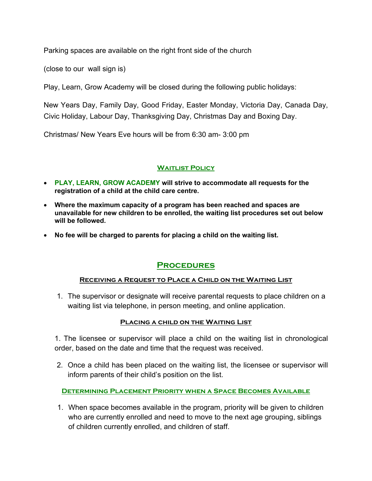Parking spaces are available on the right front side of the church

(close to our wall sign is)

Play, Learn, Grow Academy will be closed during the following public holidays:

New Years Day, Family Day, Good Friday, Easter Monday, Victoria Day, Canada Day, Civic Holiday, Labour Day, Thanksgiving Day, Christmas Day and Boxing Day.

Christmas/ New Years Eve hours will be from 6:30 am- 3:00 pm

# **Waitlist Policy**

- **PLAY, LEARN, GROW ACADEMY will strive to accommodate all requests for the registration of a child at the child care centre.**
- **Where the maximum capacity of a program has been reached and spaces are unavailable for new children to be enrolled, the waiting list procedures set out below will be followed.**
- **No fee will be charged to parents for placing a child on the waiting list.**

# **Procedures**

# **Receiving a Request to Place a Child on the Waiting List**

1. The supervisor or designate will receive parental requests to place children on a waiting list via telephone, in person meeting, and online application.

# **Placing a child on the Waiting List**

1. The licensee or supervisor will place a child on the waiting list in chronological order, based on the date and time that the request was received.

2. Once a child has been placed on the waiting list, the licensee or supervisor will inform parents of their child's position on the list.

**Determining Placement Priority when a Space Becomes Available**

1. When space becomes available in the program, priority will be given to children who are currently enrolled and need to move to the next age grouping, siblings of children currently enrolled, and children of staff.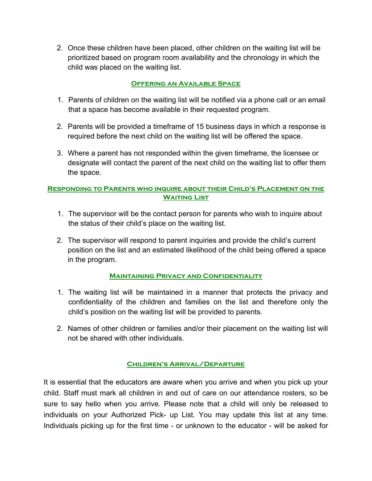2. Once these children have been placed, other children on the waiting list will be prioritized based on program room availability and the chronology in which the child was placed on the waiting list.

# **Offering an Available Space**

- 1. Parents of children on the waiting list will be notified via a phone call or an email that a space has become available in their requested program.
- 2. Parents will be provided a timeframe of 15 business days in which a response is required before the next child on the waiting list will be offered the space.
- 3. Where a parent has not responded within the given timeframe, the licensee or designate will contact the parent of the next child on the waiting list to offer them the space.

### **Responding to Parents who inquire about their Child's Placement on the Waiting List**

- 1. The supervisor will be the contact person for parents who wish to inquire about the status of their child's place on the waiting list.
- 2. The supervisor will respond to parent inquiries and provide the child's current position on the list and an estimated likelihood of the child being offered a space in the program.

# **Maintaining Privacy and Confidentiality**

- 1. The waiting list will be maintained in a manner that protects the privacy and confidentiality of the children and families on the list and therefore only the child's position on the waiting list will be provided to parents.
- 2. Names of other children or families and/or their placement on the waiting list will not be shared with other individuals.

# **Children's Arrival/Departure**

It is essential that the educators are aware when you arrive and when you pick up your child. Staff must mark all children in and out of care on our attendance rosters, so be sure to say hello when you arrive. Please note that a child will only be released to individuals on your Authorized Pick- up List. You may update this list at any time. Individuals picking up for the first time - or unknown to the educator - will be asked for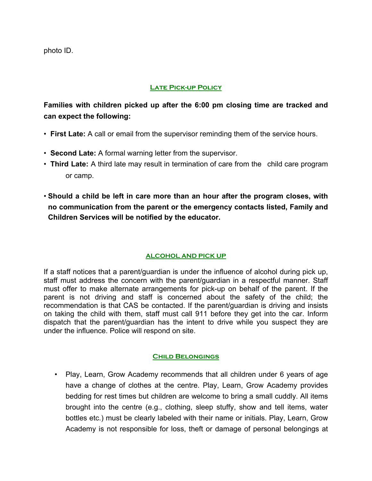photo ID.

#### **Late Pick-up Policy**

**Families with children picked up after the 6:00 pm closing time are tracked and can expect the following:** 

- **First Late:** A call or email from the supervisor reminding them of the service hours.
- **Second Late:** A formal warning letter from the supervisor.
- **Third Late:** A third late may result in termination of care from the child care program or camp.
- **Should a child be left in care more than an hour after the program closes, with no communication from the parent or the emergency contacts listed, Family and Children Services will be notified by the educator.**

# **ALCOHOL AND PICK UP**

If a staff notices that a parent/guardian is under the influence of alcohol during pick up, staff must address the concern with the parent/guardian in a respectful manner. Staff must offer to make alternate arrangements for pick-up on behalf of the parent. If the parent is not driving and staff is concerned about the safety of the child; the recommendation is that CAS be contacted. If the parent/guardian is driving and insists on taking the child with them, staff must call 911 before they get into the car. Inform dispatch that the parent/guardian has the intent to drive while you suspect they are under the influence. Police will respond on site.

#### **Child Belongings**

• Play, Learn, Grow Academy recommends that all children under 6 years of age have a change of clothes at the centre. Play, Learn, Grow Academy provides bedding for rest times but children are welcome to bring a small cuddly. All items brought into the centre (e.g., clothing, sleep stuffy, show and tell items, water bottles etc.) must be clearly labeled with their name or initials. Play, Learn, Grow Academy is not responsible for loss, theft or damage of personal belongings at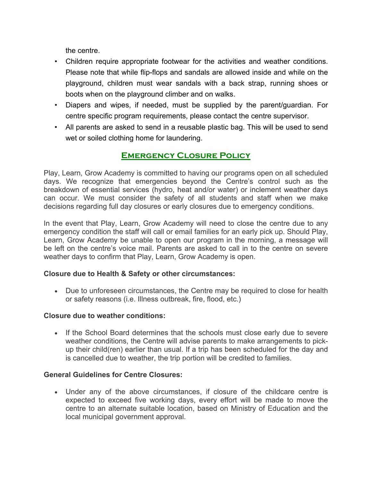the centre.

- Children require appropriate footwear for the activities and weather conditions. Please note that while flip-flops and sandals are allowed inside and while on the playground, children must wear sandals with a back strap, running shoes or boots when on the playground climber and on walks.
- Diapers and wipes, if needed, must be supplied by the parent/guardian. For centre specific program requirements, please contact the centre supervisor.
- All parents are asked to send in a reusable plastic bag. This will be used to send wet or soiled clothing home for laundering.

# **Emergency Closure Policy**

Play, Learn, Grow Academy is committed to having our programs open on all scheduled days. We recognize that emergencies beyond the Centre's control such as the breakdown of essential services (hydro, heat and/or water) or inclement weather days can occur. We must consider the safety of all students and staff when we make decisions regarding full day closures or early closures due to emergency conditions.

In the event that Play, Learn, Grow Academy will need to close the centre due to any emergency condition the staff will call or email families for an early pick up. Should Play, Learn, Grow Academy be unable to open our program in the morning, a message will be left on the centre's voice mail. Parents are asked to call in to the centre on severe weather days to confirm that Play, Learn, Grow Academy is open.

# **Closure due to Health & Safety or other circumstances:**

• Due to unforeseen circumstances, the Centre may be required to close for health or safety reasons (i.e. Illness outbreak, fire, flood, etc.)

# **Closure due to weather conditions:**

• If the School Board determines that the schools must close early due to severe weather conditions, the Centre will advise parents to make arrangements to pickup their child(ren) earlier than usual. If a trip has been scheduled for the day and is cancelled due to weather, the trip portion will be credited to families.

# **General Guidelines for Centre Closures:**

• Under any of the above circumstances, if closure of the childcare centre is expected to exceed five working days, every effort will be made to move the centre to an alternate suitable location, based on Ministry of Education and the local municipal government approval.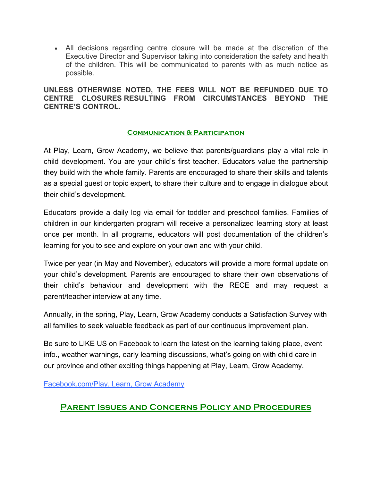• All decisions regarding centre closure will be made at the discretion of the Executive Director and Supervisor taking into consideration the safety and health of the children. This will be communicated to parents with as much notice as possible.

# **UNLESS OTHERWISE NOTED, THE FEES WILL NOT BE REFUNDED DUE TO CENTRE CLOSURES RESULTING FROM CIRCUMSTANCES BEYOND THE CENTRE'S CONTROL.**

# **Communication & Participation**

At Play, Learn, Grow Academy, we believe that parents/guardians play a vital role in child development. You are your child's first teacher. Educators value the partnership they build with the whole family. Parents are encouraged to share their skills and talents as a special guest or topic expert, to share their culture and to engage in dialogue about their child's development.

Educators provide a daily log via email for toddler and preschool families. Families of children in our kindergarten program will receive a personalized learning story at least once per month. In all programs, educators will post documentation of the children's learning for you to see and explore on your own and with your child.

Twice per year (in May and November), educators will provide a more formal update on your child's development. Parents are encouraged to share their own observations of their child's behaviour and development with the RECE and may request a parent/teacher interview at any time.

Annually, in the spring, Play, Learn, Grow Academy conducts a Satisfaction Survey with all families to seek valuable feedback as part of our continuous improvement plan.

Be sure to LIKE US on Facebook to learn the latest on the learning taking place, event info., weather warnings, early learning discussions, what's going on with child care in our province and other exciting things happening at Play, Learn, Grow Academy.

Facebook.com/Play, Learn, Grow Academy

# **Parent Issues and Concerns Policy and Procedures**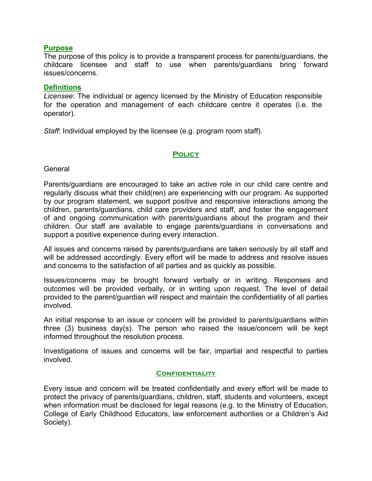#### **Purpose**

The purpose of this policy is to provide a transparent process for parents/guardians, the childcare licensee and staff to use when parents/guardians bring forward issues/concerns.

#### **Definitions**

*Licensee*: The individual or agency licensed by the Ministry of Education responsible for the operation and management of each childcare centre it operates (i.e. the operator).

*Staff*: Individual employed by the licensee (e.g. program room staff).

#### **Policy**

**General** 

Parents/guardians are encouraged to take an active role in our child care centre and regularly discuss what their child(ren) are experiencing with our program. As supported by our program statement, we support positive and responsive interactions among the children, parents/guardians, child care providers and staff, and foster the engagement of and ongoing communication with parents/guardians about the program and their children. Our staff are available to engage parents/guardians in conversations and support a positive experience during every interaction.

All issues and concerns raised by parents/guardians are taken seriously by all staff and will be addressed accordingly. Every effort will be made to address and resolve issues and concerns to the satisfaction of all parties and as quickly as possible.

Issues/concerns may be brought forward verbally or in writing. Responses and outcomes will be provided verbally, or in writing upon request. The level of detail provided to the parent/guardian will respect and maintain the confidentiality of all parties involved.

An initial response to an issue or concern will be provided to parents/guardians within three (3) business day(s). The person who raised the issue/concern will be kept informed throughout the resolution process.

Investigations of issues and concerns will be fair, impartial and respectful to parties involved.

#### **Confidentiality**

Every issue and concern will be treated confidentially and every effort will be made to protect the privacy of parents/guardians, children, staff, students and volunteers, except when information must be disclosed for legal reasons (e.g. to the Ministry of Education, College of Early Childhood Educators, law enforcement authorities or a Children's Aid Society).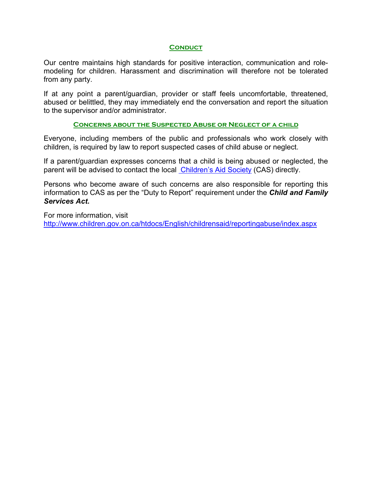#### **CONDUCT**

Our centre maintains high standards for positive interaction, communication and rolemodeling for children. Harassment and discrimination will therefore not be tolerated from any party.

If at any point a parent/guardian, provider or staff feels uncomfortable, threatened, abused or belittled, they may immediately end the conversation and report the situation to the supervisor and/or administrator.

#### **Concerns about the Suspected Abuse or Neglect of a child**

Everyone, including members of the public and professionals who work closely with children, is required by law to report suspected cases of child abuse or neglect.

If a parent/guardian expresses concerns that a child is being abused or neglected, the parent will be advised to contact the local Children's Aid Society (CAS) directly.

Persons who become aware of such concerns are also responsible for reporting this information to CAS as per the "Duty to Report" requirement under the *Child and Family Services Act***.**

For more information, visit http://www.children.gov.on.ca/htdocs/English/childrensaid/reportingabuse/index.aspx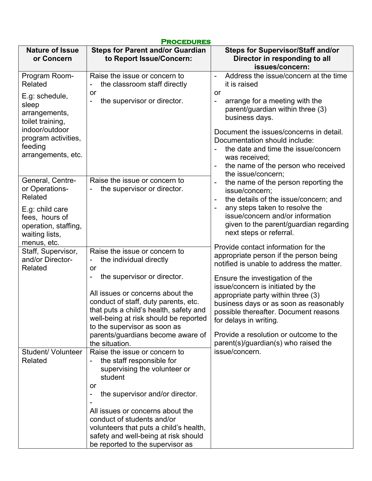| <b>PROCEDURES</b>                                                           |                                                                                                                    |                                                                                                                                         |  |
|-----------------------------------------------------------------------------|--------------------------------------------------------------------------------------------------------------------|-----------------------------------------------------------------------------------------------------------------------------------------|--|
| <b>Nature of Issue</b><br>or Concern                                        | <b>Steps for Parent and/or Guardian</b><br>to Report Issue/Concern:                                                | <b>Steps for Supervisor/Staff and/or</b><br>Director in responding to all<br>issues/concern:                                            |  |
| Program Room-<br>Related<br>E.g: schedule,                                  | Raise the issue or concern to<br>the classroom staff directly<br>or                                                | Address the issue/concern at the time<br>$\blacksquare$<br>it is raised<br>or                                                           |  |
| sleep<br>arrangements,<br>toilet training,                                  | the supervisor or director.                                                                                        | arrange for a meeting with the<br>$\overline{\phantom{0}}$<br>parent/guardian within three (3)<br>business days.                        |  |
| indoor/outdoor<br>program activities,<br>feeding<br>arrangements, etc.      |                                                                                                                    | Document the issues/concerns in detail.<br>Documentation should include:<br>the date and time the issue/concern<br>was received;        |  |
|                                                                             |                                                                                                                    | the name of the person who received<br>$\overline{\phantom{a}}$<br>the issue/concern;                                                   |  |
| General, Centre-<br>or Operations-<br>Related                               | Raise the issue or concern to<br>the supervisor or director.                                                       | the name of the person reporting the<br>$\qquad \qquad \blacksquare$<br>issue/concern;<br>the details of the issue/concern; and         |  |
| E.g: child care<br>fees, hours of<br>operation, staffing,<br>waiting lists, |                                                                                                                    | any steps taken to resolve the<br>issue/concern and/or information<br>given to the parent/guardian regarding<br>next steps or referral. |  |
| menus, etc.                                                                 | Raise the issue or concern to                                                                                      | Provide contact information for the                                                                                                     |  |
| Staff, Supervisor,<br>and/or Director-<br>Related                           | the individual directly<br>-<br>or                                                                                 | appropriate person if the person being<br>notified is unable to address the matter.                                                     |  |
|                                                                             | the supervisor or director.                                                                                        | Ensure the investigation of the<br>issue/concern is initiated by the                                                                    |  |
|                                                                             | All issues or concerns about the<br>conduct of staff, duty parents, etc.<br>that puts a child's health, safety and | appropriate party within three (3)<br>business days or as soon as reasonably<br>possible thereafter. Document reasons                   |  |
|                                                                             | well-being at risk should be reported                                                                              | for delays in writing.                                                                                                                  |  |
|                                                                             | to the supervisor as soon as<br>parents/guardians become aware of                                                  | Provide a resolution or outcome to the                                                                                                  |  |
|                                                                             | the situation.                                                                                                     | parent(s)/guardian(s) who raised the                                                                                                    |  |
| <b>Student/ Volunteer</b><br>Related                                        | Raise the issue or concern to<br>the staff responsible for<br>supervising the volunteer or<br>student              | issue/concern.                                                                                                                          |  |
|                                                                             | or<br>the supervisor and/or director.                                                                              |                                                                                                                                         |  |
|                                                                             |                                                                                                                    |                                                                                                                                         |  |
|                                                                             | All issues or concerns about the                                                                                   |                                                                                                                                         |  |
|                                                                             | conduct of students and/or<br>volunteers that puts a child's health,                                               |                                                                                                                                         |  |
|                                                                             | safety and well-being at risk should<br>be reported to the supervisor as                                           |                                                                                                                                         |  |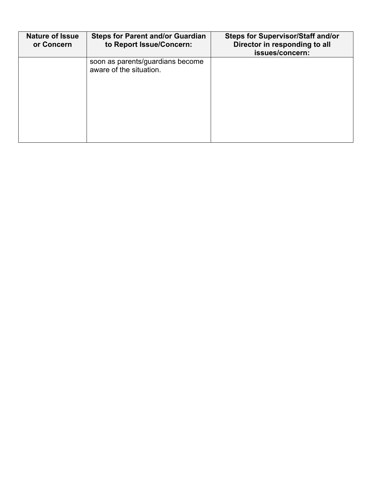| <b>Nature of Issue</b><br>or Concern | <b>Steps for Parent and/or Guardian</b><br>to Report Issue/Concern: | <b>Steps for Supervisor/Staff and/or</b><br>Director in responding to all<br>issues/concern: |
|--------------------------------------|---------------------------------------------------------------------|----------------------------------------------------------------------------------------------|
|                                      | soon as parents/guardians become<br>aware of the situation.         |                                                                                              |
|                                      |                                                                     |                                                                                              |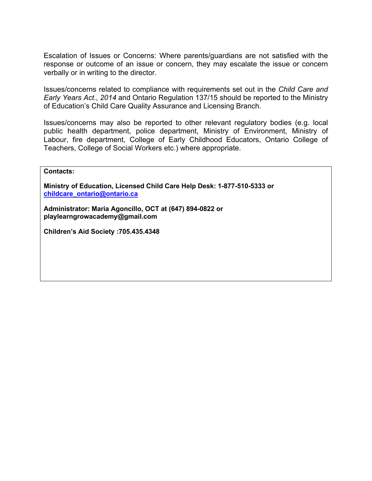Escalation of Issues or Concerns: Where parents/guardians are not satisfied with the response or outcome of an issue or concern, they may escalate the issue or concern verbally or in writing to the director.

Issues/concerns related to compliance with requirements set out in the *Child Care and Early Years Act., 2014* and Ontario Regulation 137/15 should be reported to the Ministry of Education's Child Care Quality Assurance and Licensing Branch.

Issues/concerns may also be reported to other relevant regulatory bodies (e.g. local public health department, police department, Ministry of Environment, Ministry of Labour, fire department, College of Early Childhood Educators, Ontario College of Teachers, College of Social Workers etc.) where appropriate.

**Contacts:** 

**Ministry of Education, Licensed Child Care Help Desk: 1-877-510-5333 or childcare\_ontario@ontario.ca**

**Administrator: Maria Agoncillo, OCT at (647) 894-0822 or playlearngrowacademy@gmail.com**

**Children's Aid Society :705.435.4348**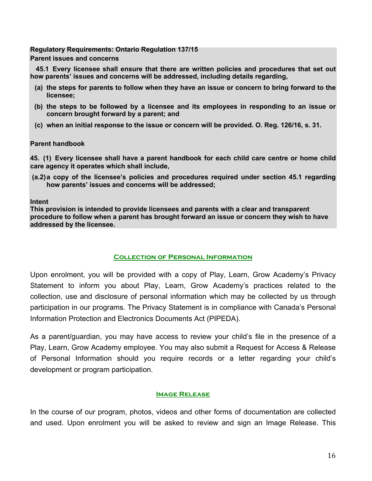#### **Regulatory Requirements: Ontario Regulation 137/15**

**Parent issues and concerns**

**45.1 Every licensee shall ensure that there are written policies and procedures that set out how parents' issues and concerns will be addressed, including details regarding,**

- **(a) the steps for parents to follow when they have an issue or concern to bring forward to the licensee;**
- **(b) the steps to be followed by a licensee and its employees in responding to an issue or concern brought forward by a parent; and**
- **(c) when an initial response to the issue or concern will be provided. O. Reg. 126/16, s. 31.**

#### **Parent handbook**

**45. (1) Every licensee shall have a parent handbook for each child care centre or home child care agency it operates which shall include,**

**(a.2)a copy of the licensee's policies and procedures required under section 45.1 regarding how parents' issues and concerns will be addressed;**

#### **Intent**

**This provision is intended to provide licensees and parents with a clear and transparent procedure to follow when a parent has brought forward an issue or concern they wish to have addressed by the licensee.**

# **Collection of Personal Information**

Upon enrolment, you will be provided with a copy of Play, Learn, Grow Academy's Privacy Statement to inform you about Play, Learn, Grow Academy's practices related to the collection, use and disclosure of personal information which may be collected by us through participation in our programs. The Privacy Statement is in compliance with Canada's Personal Information Protection and Electronics Documents Act (PIPEDA).

As a parent/guardian, you may have access to review your child's file in the presence of a Play, Learn, Grow Academy employee. You may also submit a Request for Access & Release of Personal Information should you require records or a letter regarding your child's development or program participation.

# **Image Release**

In the course of our program, photos, videos and other forms of documentation are collected and used. Upon enrolment you will be asked to review and sign an Image Release. This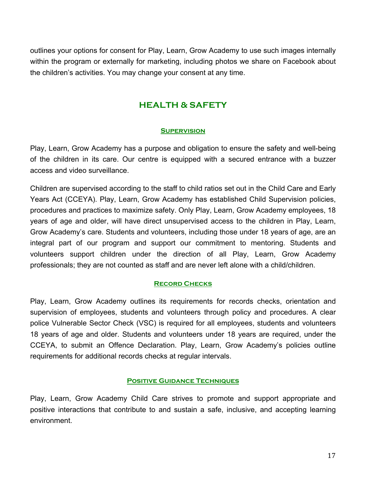outlines your options for consent for Play, Learn, Grow Academy to use such images internally within the program or externally for marketing, including photos we share on Facebook about the children's activities. You may change your consent at any time.

# **HEALTH & SAFETY**

# **Supervision**

Play, Learn, Grow Academy has a purpose and obligation to ensure the safety and well-being of the children in its care. Our centre is equipped with a secured entrance with a buzzer access and video surveillance.

Children are supervised according to the staff to child ratios set out in the Child Care and Early Years Act (CCEYA). Play, Learn, Grow Academy has established Child Supervision policies, procedures and practices to maximize safety. Only Play, Learn, Grow Academy employees, 18 years of age and older, will have direct unsupervised access to the children in Play, Learn, Grow Academy's care. Students and volunteers, including those under 18 years of age, are an integral part of our program and support our commitment to mentoring. Students and volunteers support children under the direction of all Play, Learn, Grow Academy professionals; they are not counted as staff and are never left alone with a child/children.

# **Record Checks**

Play, Learn, Grow Academy outlines its requirements for records checks, orientation and supervision of employees, students and volunteers through policy and procedures. A clear police Vulnerable Sector Check (VSC) is required for all employees, students and volunteers 18 years of age and older. Students and volunteers under 18 years are required, under the CCEYA, to submit an Offence Declaration. Play, Learn, Grow Academy's policies outline requirements for additional records checks at regular intervals.

#### **Positive Guidance Techniques**

Play, Learn, Grow Academy Child Care strives to promote and support appropriate and positive interactions that contribute to and sustain a safe, inclusive, and accepting learning environment.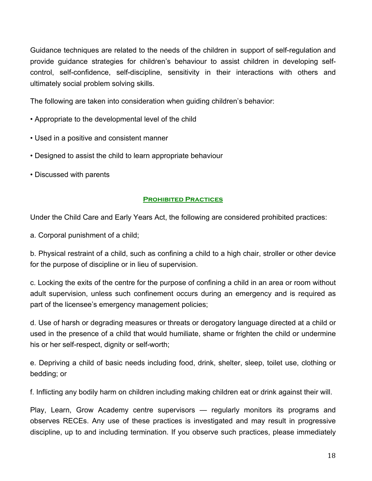Guidance techniques are related to the needs of the children in support of self-regulation and provide guidance strategies for children's behaviour to assist children in developing selfcontrol, self-confidence, self-discipline, sensitivity in their interactions with others and ultimately social problem solving skills.

The following are taken into consideration when guiding children's behavior:

- Appropriate to the developmental level of the child
- Used in a positive and consistent manner
- Designed to assist the child to learn appropriate behaviour
- Discussed with parents

#### **Prohibited Practices**

Under the Child Care and Early Years Act, the following are considered prohibited practices:

a. Corporal punishment of a child;

b. Physical restraint of a child, such as confining a child to a high chair, stroller or other device for the purpose of discipline or in lieu of supervision.

c. Locking the exits of the centre for the purpose of confining a child in an area or room without adult supervision, unless such confinement occurs during an emergency and is required as part of the licensee's emergency management policies;

d. Use of harsh or degrading measures or threats or derogatory language directed at a child or used in the presence of a child that would humiliate, shame or frighten the child or undermine his or her self-respect, dignity or self-worth;

e. Depriving a child of basic needs including food, drink, shelter, sleep, toilet use, clothing or bedding; or

f. Inflicting any bodily harm on children including making children eat or drink against their will.

Play, Learn, Grow Academy centre supervisors — regularly monitors its programs and observes RECEs. Any use of these practices is investigated and may result in progressive discipline, up to and including termination. If you observe such practices, please immediately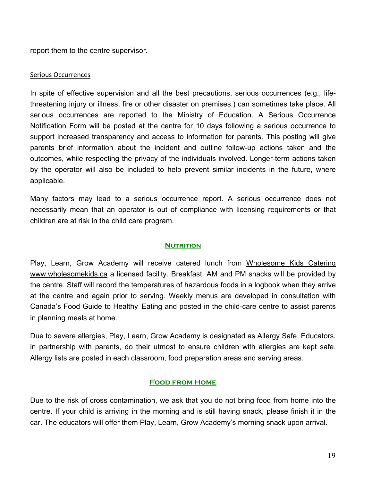report them to the centre supervisor.

#### Serious Occurrences

In spite of effective supervision and all the best precautions, serious occurrences (e.g., lifethreatening injury or illness, fire or other disaster on premises.) can sometimes take place. All serious occurrences are reported to the Ministry of Education. A Serious Occurrence Notification Form will be posted at the centre for 10 days following a serious occurrence to support increased transparency and access to information for parents. This posting will give parents brief information about the incident and outline follow-up actions taken and the outcomes, while respecting the privacy of the individuals involved. Longer-term actions taken by the operator will also be included to help prevent similar incidents in the future, where applicable.

Many factors may lead to a serious occurrence report. A serious occurrence does not necessarily mean that an operator is out of compliance with licensing requirements or that children are at risk in the child care program.

#### **NUTRITION**

Play, Learn, Grow Academy will receive catered lunch from Wholesome Kids Catering www.wholesomekids.ca a licensed facility. Breakfast, AM and PM snacks will be provided by the centre. Staff will record the temperatures of hazardous foods in a logbook when they arrive at the centre and again prior to serving. Weekly menus are developed in consultation with Canada's Food Guide to Healthy Eating and posted in the child-care centre to assist parents in planning meals at home.

Due to severe allergies, Play, Learn, Grow Academy is designated as Allergy Safe. Educators, in partnership with parents, do their utmost to ensure children with allergies are kept safe. Allergy lists are posted in each classroom, food preparation areas and serving areas.

#### **Food from Home**

Due to the risk of cross contamination, we ask that you do not bring food from home into the centre. If your child is arriving in the morning and is still having snack, please finish it in the car. The educators will offer them Play, Learn, Grow Academy's morning snack upon arrival.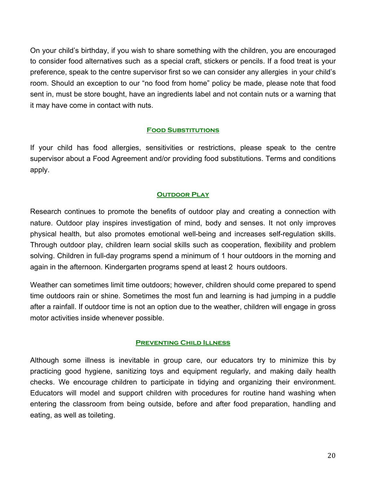On your child's birthday, if you wish to share something with the children, you are encouraged to consider food alternatives such as a special craft, stickers or pencils. If a food treat is your preference, speak to the centre supervisor first so we can consider any allergies in your child's room. Should an exception to our "no food from home" policy be made, please note that food sent in, must be store bought, have an ingredients label and not contain nuts or a warning that it may have come in contact with nuts.

#### **Food Substitutions**

If your child has food allergies, sensitivities or restrictions, please speak to the centre supervisor about a Food Agreement and/or providing food substitutions. Terms and conditions apply.

#### **OUTDOOR PLAY**

Research continues to promote the benefits of outdoor play and creating a connection with nature. Outdoor play inspires investigation of mind, body and senses. It not only improves physical health, but also promotes emotional well-being and increases self-regulation skills. Through outdoor play, children learn social skills such as cooperation, flexibility and problem solving. Children in full-day programs spend a minimum of 1 hour outdoors in the morning and again in the afternoon. Kindergarten programs spend at least 2 hours outdoors.

Weather can sometimes limit time outdoors; however, children should come prepared to spend time outdoors rain or shine. Sometimes the most fun and learning is had jumping in a puddle after a rainfall. If outdoor time is not an option due to the weather, children will engage in gross motor activities inside whenever possible.

#### **Preventing Child Illness**

Although some illness is inevitable in group care, our educators try to minimize this by practicing good hygiene, sanitizing toys and equipment regularly, and making daily health checks. We encourage children to participate in tidying and organizing their environment. Educators will model and support children with procedures for routine hand washing when entering the classroom from being outside, before and after food preparation, handling and eating, as well as toileting.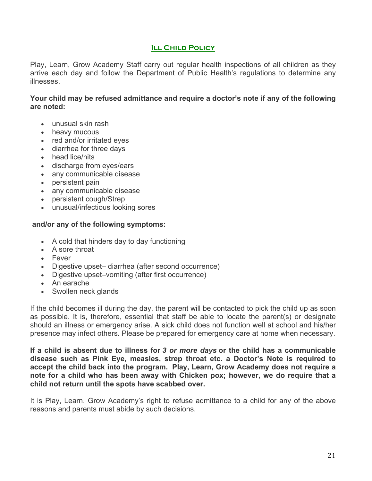# **Ill Child Policy**

Play, Learn, Grow Academy Staff carry out regular health inspections of all children as they arrive each day and follow the Department of Public Health's regulations to determine any illnesses.

**Your child may be refused admittance and require a doctor's note if any of the following are noted:**

- unusual skin rash
- heavy mucous
- red and/or irritated eyes
- diarrhea for three days
- head lice/nits
- discharge from eyes/ears
- any communicable disease
- persistent pain
- any communicable disease
- persistent cough/Strep
- unusual/infectious looking sores

#### **and/or any of the following symptoms:**

- A cold that hinders day to day functioning
- A sore throat
- Fever
- Digestive upset– diarrhea (after second occurrence)
- Digestive upset–vomiting (after first occurrence)
- An earache
- Swollen neck glands

If the child becomes ill during the day, the parent will be contacted to pick the child up as soon as possible. It is, therefore, essential that staff be able to locate the parent(s) or designate should an illness or emergency arise. A sick child does not function well at school and his/her presence may infect others. Please be prepared for emergency care at home when necessary.

**If a child is absent due to illness for** *3 or more days* **or the child has a communicable disease such as Pink Eye, measles, strep throat etc. a Doctor's Note is required to accept the child back into the program. Play, Learn, Grow Academy does not require a note for a child who has been away with Chicken pox; however, we do require that a child not return until the spots have scabbed over.**

It is Play, Learn, Grow Academy's right to refuse admittance to a child for any of the above reasons and parents must abide by such decisions.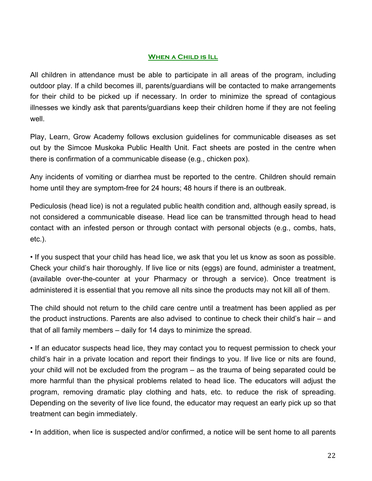# **WHEN A CHILD IS ILL**

All children in attendance must be able to participate in all areas of the program, including outdoor play. If a child becomes ill, parents/guardians will be contacted to make arrangements for their child to be picked up if necessary. In order to minimize the spread of contagious illnesses we kindly ask that parents/guardians keep their children home if they are not feeling well.

Play, Learn, Grow Academy follows exclusion guidelines for communicable diseases as set out by the Simcoe Muskoka Public Health Unit. Fact sheets are posted in the centre when there is confirmation of a communicable disease (e.g., chicken pox).

Any incidents of vomiting or diarrhea must be reported to the centre. Children should remain home until they are symptom-free for 24 hours; 48 hours if there is an outbreak.

Pediculosis (head lice) is not a regulated public health condition and, although easily spread, is not considered a communicable disease. Head lice can be transmitted through head to head contact with an infested person or through contact with personal objects (e.g., combs, hats, etc.).

• If you suspect that your child has head lice, we ask that you let us know as soon as possible. Check your child's hair thoroughly. If live lice or nits (eggs) are found, administer a treatment, (available over-the-counter at your Pharmacy or through a service). Once treatment is administered it is essential that you remove all nits since the products may not kill all of them.

The child should not return to the child care centre until a treatment has been applied as per the product instructions. Parents are also advised to continue to check their child's hair – and that of all family members – daily for 14 days to minimize the spread.

• If an educator suspects head lice, they may contact you to request permission to check your child's hair in a private location and report their findings to you. If live lice or nits are found, your child will not be excluded from the program – as the trauma of being separated could be more harmful than the physical problems related to head lice. The educators will adjust the program, removing dramatic play clothing and hats, etc. to reduce the risk of spreading. Depending on the severity of live lice found, the educator may request an early pick up so that treatment can begin immediately.

• In addition, when lice is suspected and/or confirmed, a notice will be sent home to all parents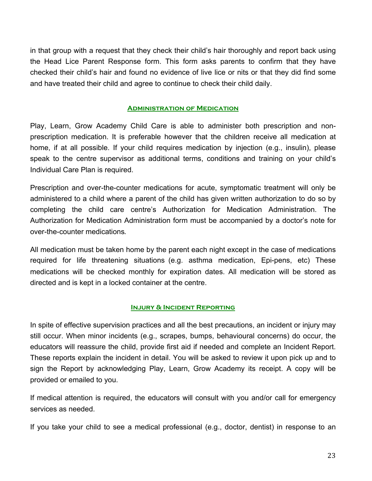in that group with a request that they check their child's hair thoroughly and report back using the Head Lice Parent Response form. This form asks parents to confirm that they have checked their child's hair and found no evidence of live lice or nits or that they did find some and have treated their child and agree to continue to check their child daily.

#### **Administration of Medication**

Play, Learn, Grow Academy Child Care is able to administer both prescription and nonprescription medication. It is preferable however that the children receive all medication at home, if at all possible. If your child requires medication by injection (e.g., insulin), please speak to the centre supervisor as additional terms, conditions and training on your child's Individual Care Plan is required.

Prescription and over-the-counter medications for acute, symptomatic treatment will only be administered to a child where a parent of the child has given written authorization to do so by completing the child care centre's Authorization for Medication Administration. The Authorization for Medication Administration form must be accompanied by a doctor's note for over-the-counter medications.

All medication must be taken home by the parent each night except in the case of medications required for life threatening situations (e.g. asthma medication, Epi-pens, etc) These medications will be checked monthly for expiration dates. All medication will be stored as directed and is kept in a locked container at the centre.

#### **Injury & Incident Reporting**

In spite of effective supervision practices and all the best precautions, an incident or injury may still occur. When minor incidents (e.g., scrapes, bumps, behavioural concerns) do occur, the educators will reassure the child, provide first aid if needed and complete an Incident Report. These reports explain the incident in detail. You will be asked to review it upon pick up and to sign the Report by acknowledging Play, Learn, Grow Academy its receipt. A copy will be provided or emailed to you.

If medical attention is required, the educators will consult with you and/or call for emergency services as needed.

If you take your child to see a medical professional (e.g., doctor, dentist) in response to an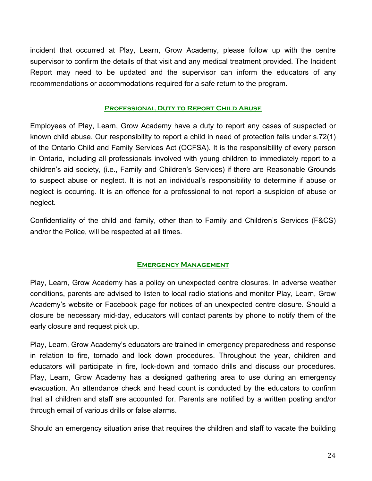incident that occurred at Play, Learn, Grow Academy, please follow up with the centre supervisor to confirm the details of that visit and any medical treatment provided. The Incident Report may need to be updated and the supervisor can inform the educators of any recommendations or accommodations required for a safe return to the program.

#### **Professional Duty to Report Child Abuse**

Employees of Play, Learn, Grow Academy have a duty to report any cases of suspected or known child abuse. Our responsibility to report a child in need of protection falls under s.72(1) of the Ontario Child and Family Services Act (OCFSA). It is the responsibility of every person in Ontario, including all professionals involved with young children to immediately report to a children's aid society, (i.e., Family and Children's Services) if there are Reasonable Grounds to suspect abuse or neglect. It is not an individual's responsibility to determine if abuse or neglect is occurring. It is an offence for a professional to not report a suspicion of abuse or neglect.

Confidentiality of the child and family, other than to Family and Children's Services (F&CS) and/or the Police, will be respected at all times.

#### **Emergency Management**

Play, Learn, Grow Academy has a policy on unexpected centre closures. In adverse weather conditions, parents are advised to listen to local radio stations and monitor Play, Learn, Grow Academy's website or Facebook page for notices of an unexpected centre closure. Should a closure be necessary mid-day, educators will contact parents by phone to notify them of the early closure and request pick up.

Play, Learn, Grow Academy's educators are trained in emergency preparedness and response in relation to fire, tornado and lock down procedures. Throughout the year, children and educators will participate in fire, lock-down and tornado drills and discuss our procedures. Play, Learn, Grow Academy has a designed gathering area to use during an emergency evacuation. An attendance check and head count is conducted by the educators to confirm that all children and staff are accounted for. Parents are notified by a written posting and/or through email of various drills or false alarms.

Should an emergency situation arise that requires the children and staff to vacate the building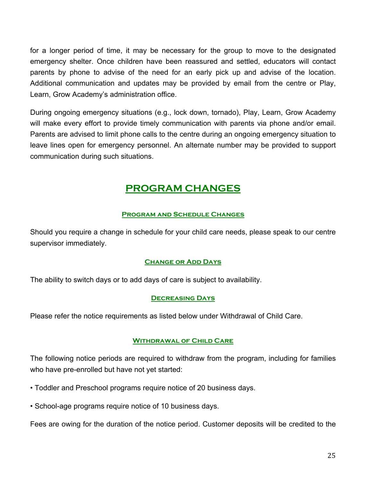for a longer period of time, it may be necessary for the group to move to the designated emergency shelter. Once children have been reassured and settled, educators will contact parents by phone to advise of the need for an early pick up and advise of the location. Additional communication and updates may be provided by email from the centre or Play, Learn, Grow Academy's administration office.

During ongoing emergency situations (e.g., lock down, tornado), Play, Learn, Grow Academy will make every effort to provide timely communication with parents via phone and/or email. Parents are advised to limit phone calls to the centre during an ongoing emergency situation to leave lines open for emergency personnel. An alternate number may be provided to support communication during such situations.

# **PROGRAM CHANGES**

# **Program and Schedule Changes**

Should you require a change in schedule for your child care needs, please speak to our centre supervisor immediately.

# **Change or Add Days**

The ability to switch days or to add days of care is subject to availability.

#### **Decreasing Days**

Please refer the notice requirements as listed below under Withdrawal of Child Care.

#### **Withdrawal of Child Care**

The following notice periods are required to withdraw from the program, including for families who have pre-enrolled but have not yet started:

- Toddler and Preschool programs require notice of 20 business days.
- School-age programs require notice of 10 business days.

Fees are owing for the duration of the notice period. Customer deposits will be credited to the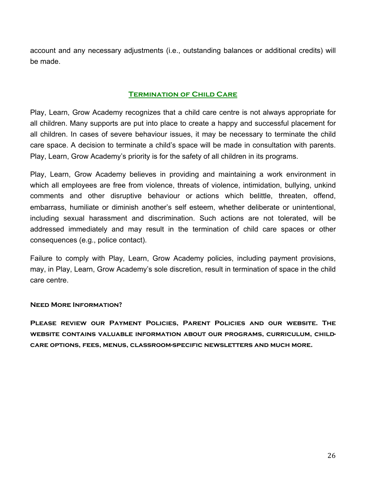account and any necessary adjustments (i.e., outstanding balances or additional credits) will be made.

# **TERMINATION OF CHILD CARE**

Play, Learn, Grow Academy recognizes that a child care centre is not always appropriate for all children. Many supports are put into place to create a happy and successful placement for all children. In cases of severe behaviour issues, it may be necessary to terminate the child care space. A decision to terminate a child's space will be made in consultation with parents. Play, Learn, Grow Academy's priority is for the safety of all children in its programs.

Play, Learn, Grow Academy believes in providing and maintaining a work environment in which all employees are free from violence, threats of violence, intimidation, bullying, unkind comments and other disruptive behaviour or actions which belittle, threaten, offend, embarrass, humiliate or diminish another's self esteem, whether deliberate or unintentional, including sexual harassment and discrimination. Such actions are not tolerated, will be addressed immediately and may result in the termination of child care spaces or other consequences (e.g., police contact).

Failure to comply with Play, Learn, Grow Academy policies, including payment provisions, may, in Play, Learn, Grow Academy's sole discretion, result in termination of space in the child care centre.

#### **Need More Information?**

**Please review our Payment Policies, Parent Policies and our website. The website contains valuable information about our programs, curriculum, childcare options, fees, menus, classroom-specific newsletters and much more.**